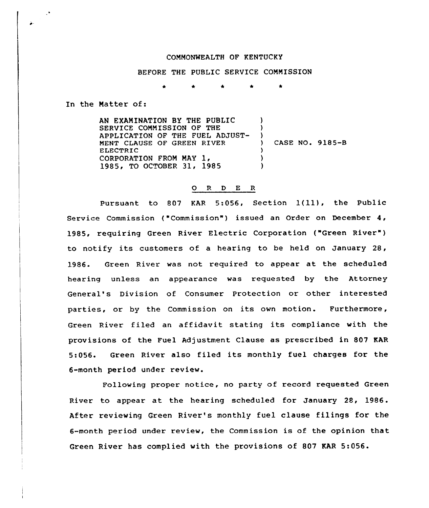## COMMONWEALTH OF KENTUCKY

BEFORE THE PUBLIC SERVICE COMMISSION

In the Matter of:

AN EXAMINATION BY THE PUBLIC SERVICE COMMISSION OF THE APPLICATION OF THE FUEL ADJUST-MENT CLAUSE OF GREEN RIVER ELECTRIC CORPORATION FROM MAY 1, 1985, TO OCTOBER 31, 1985  $\lambda$ )  $\left\{ \begin{array}{c} 1 \\ 1 \end{array} \right\}$ ) CASE NO, 9185-8 ) ) )

## 0 <sup>R</sup> <sup>D</sup> E <sup>R</sup>

Pursuant to <sup>807</sup> KAR 5:056, Section 1(ll), the Public Service Commission ("Commission") issued an Order on December 4, 1985, requiring Green River Electric Corporation ("Green River" ) to notify its customers of a hearing to be held on January 28, 1986. Green River was not required to appear at the scheduled hearing unless an appearance was requested by the Attorney General's Division of Consumer Protection or other interested parties, or by the Commission on its own motion. Furthermore, Green River filed an affidavit stating its compliance with the provisions of the Fuel Adjustment Clause as prescribed in 807 KAR 5:056. Green River also filed its monthly fuel charges for the 6-month period under review.

Following proper notice, no party of record requested Green River to appear at the hearing scheduled for January 28, 1986. After reviewing Green River's monthly fuel clause filings for the 6-month period under review, the Commission is of the opinion that Green River has complied with the provisions of 807 KAR 5:056.